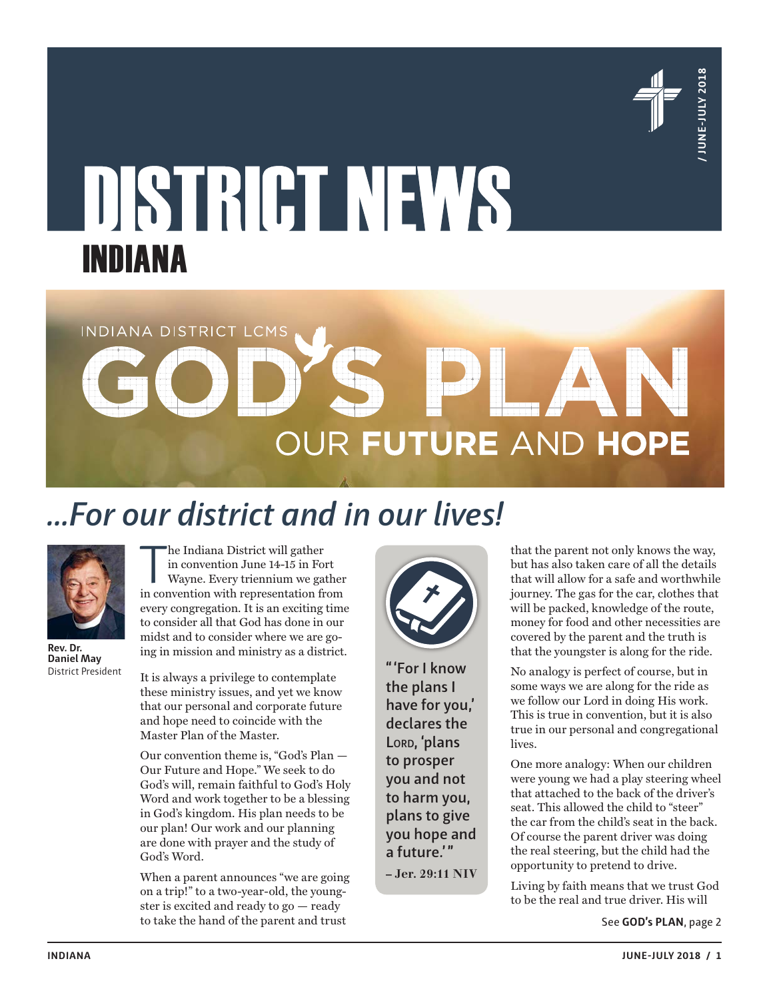

# INDIANA

# **INDIANA**<br> **INDIANA**<br> **INDIANA**<br> **INDIANA**<br> **INDIANA**<br> **INDIANA**<br> **INDIANA**<br> **INDIANA**<br> **INDIANA**<br> **INDIANA**<br> **INDIANA**<br> **INDIANA**<br> **INDIANA**<br> **INDIANA**<br> **INDIANA**<br> **INDIANA**<br> **INDIANA**<br> **INDIANA**<br> **INDIANA**<br> **INDIANA**<br> **I**

# *…For our district and in our lives!*



**Rev. Dr. Daniel May** District President

The Indiana District will gather<br>in convention June 14-15 in Fort<br>wayne. Every triennium we gather<br>in convention with representation from he Indiana District will gather in convention June 14-15 in Fort Wayne. Every triennium we gather every congregation. It is an exciting time to consider all that God has done in our midst and to consider where we are going in mission and ministry as a district.

It is always a privilege to contemplate these ministry issues, and yet we know that our personal and corporate future and hope need to coincide with the Master Plan of the Master.

Our convention theme is, "God's Plan — Our Future and Hope." We seek to do God's will, remain faithful to God's Holy Word and work together to be a blessing in God's kingdom. His plan needs to be our plan! Our work and our planning are done with prayer and the study of God's Word.

When a parent announces "we are going on a trip!" to a two-year-old, the youngster is excited and ready to go — ready to take the hand of the parent and trust See **GOD's PLAN**, page 2



**"'For I know the plans I have for you,' declares the Lord, 'plans to prosper you and not to harm you, plans to give you hope and a future.'" – Jer. 29:11 NIV**

that the parent not only knows the way, but has also taken care of all the details that will allow for a safe and worthwhile journey. The gas for the car, clothes that will be packed, knowledge of the route, money for food and other necessities are covered by the parent and the truth is that the youngster is along for the ride.

No analogy is perfect of course, but in some ways we are along for the ride as we follow our Lord in doing His work. This is true in convention, but it is also true in our personal and congregational lives.

One more analogy: When our children were young we had a play steering wheel that attached to the back of the driver's seat. This allowed the child to "steer" the car from the child's seat in the back. Of course the parent driver was doing the real steering, but the child had the opportunity to pretend to drive.

Living by faith means that we trust God to be the real and true driver. His will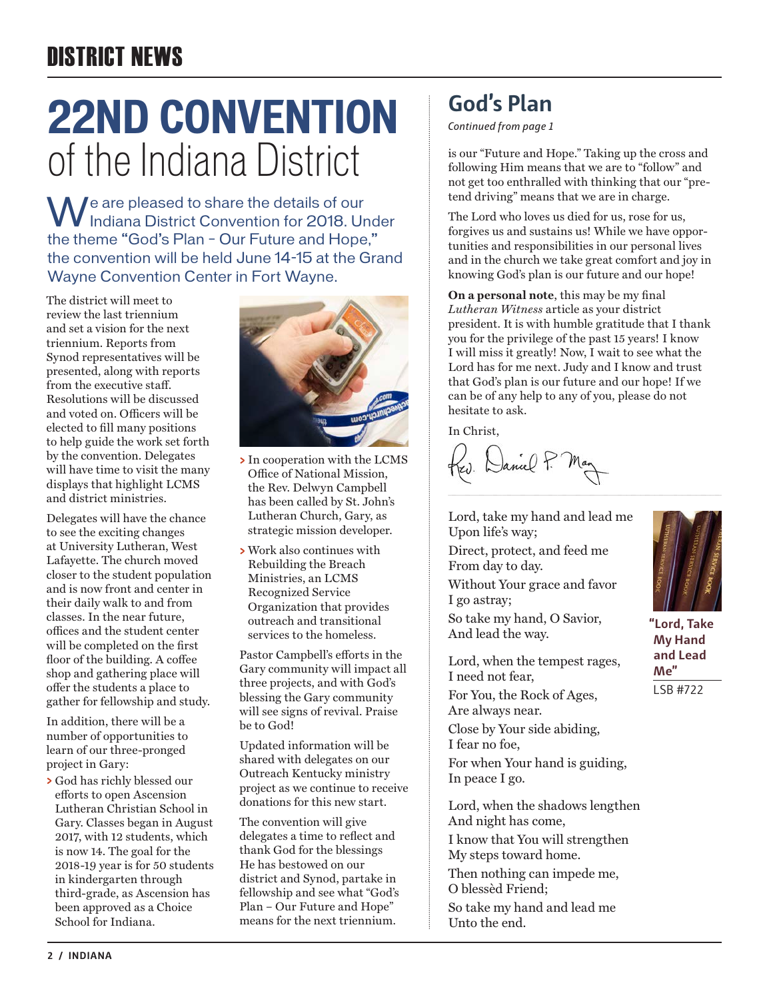# DISTRICT NEWS

# **22ND CONVENTION** of the Indiana District

We are pleased to share the details of our<br>Indiana District Convention for 2018. Under the theme "God's Plan – Our Future and Hope," the convention will be held June 14-15 at the Grand Wayne Convention Center in Fort Wayne.

The district will meet to review the last triennium and set a vision for the next triennium. Reports from Synod representatives will be presented, along with reports from the executive staff. Resolutions will be discussed and voted on. Officers will be elected to fill many positions to help guide the work set forth by the convention. Delegates will have time to visit the many displays that highlight LCMS and district ministries.

Delegates will have the chance to see the exciting changes at University Lutheran, West Lafayette. The church moved closer to the student population and is now front and center in their daily walk to and from classes. In the near future, offices and the student center will be completed on the first floor of the building. A coffee shop and gathering place will offer the students a place to gather for fellowship and study.

In addition, there will be a number of opportunities to learn of our three-pronged project in Gary:

**>** God has richly blessed our efforts to open Ascension Lutheran Christian School in Gary. Classes began in August 2017, with 12 students, which is now 14. The goal for the 2018-19 year is for 50 students in kindergarten through third-grade, as Ascension has been approved as a Choice School for Indiana.



- **>** In cooperation with the LCMS Office of National Mission, the Rev. Delwyn Campbell has been called by St. John's Lutheran Church, Gary, as strategic mission developer.
- **>** Work also continues with Rebuilding the Breach Ministries, an LCMS Recognized Service Organization that provides outreach and transitional services to the homeless.

Pastor Campbell's efforts in the Gary community will impact all three projects, and with God's blessing the Gary community will see signs of revival. Praise be to God!

Updated information will be shared with delegates on our Outreach Kentucky ministry project as we continue to receive donations for this new start.

The convention will give delegates a time to reflect and thank God for the blessings He has bestowed on our district and Synod, partake in fellowship and see what "God's Plan – Our Future and Hope" means for the next triennium.

## **God's Plan**

*Continued from page 1*

is our "Future and Hope." Taking up the cross and following Him means that we are to "follow" and not get too enthralled with thinking that our "pretend driving" means that we are in charge.

The Lord who loves us died for us, rose for us, forgives us and sustains us! While we have opportunities and responsibilities in our personal lives and in the church we take great comfort and joy in knowing God's plan is our future and our hope!

**On a personal note**, this may be my final *Lutheran Witness* article as your district president. It is with humble gratitude that I thank you for the privilege of the past 15 years! I know I will miss it greatly! Now, I wait to see what the Lord has for me next. Judy and I know and trust that God's plan is our future and our hope! If we can be of any help to any of you, please do not hesitate to ask.

In Christ

W. Daniel P.

Lord, take my hand and lead me Upon life's way;

Direct, protect, and feed me From day to day. Without Your grace and favor I go astray;

So take my hand, O Savior, And lead the way.

Lord, when the tempest rages, I need not fear,

For You, the Rock of Ages, Are always near.

Close by Your side abiding, I fear no foe,

For when Your hand is guiding, In peace I go.

Lord, when the shadows lengthen And night has come, I know that You will strengthen My steps toward home.

Then nothing can impede me,

O blessèd Friend; So take my hand and lead me Unto the end.



**"Lord, Take My Hand and Lead Me"** LSB #722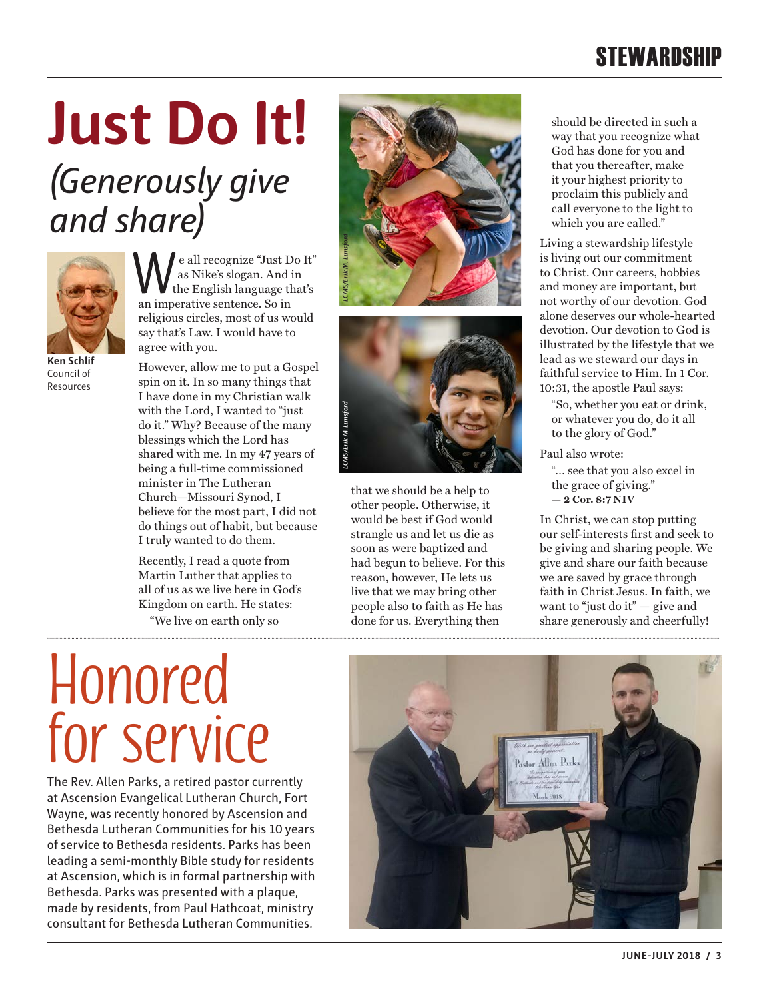# **STEWARDSHIP**

# **Just Do It!**

# *(Generously give and share)*



e all recognize "Just Do It" as Nike's slogan. And in the English language that's an imperative sentence. So in religious circles, most of us would say that's Law. I would have to agree with you.

**Ken Schlif** Council of Resources

However, allow me to put a Gospel spin on it. In so many things that I have done in my Christian walk with the Lord, I wanted to "just do it." Why? Because of the many blessings which the Lord has shared with me. In my 47 years of being a full-time commissioned minister in The Lutheran Church—Missouri Synod, I believe for the most part, I did not do things out of habit, but because I truly wanted to do them.

Recently, I read a quote from Martin Luther that applies to all of us as we live here in God's Kingdom on earth. He states: "We live on earth only so





that we should be a help to other people. Otherwise, it would be best if God would strangle us and let us die as soon as were baptized and had begun to believe. For this reason, however, He lets us live that we may bring other people also to faith as He has done for us. Everything then

should be directed in such a way that you recognize what God has done for you and that you thereafter, make it your highest priority to proclaim this publicly and call everyone to the light to which you are called."

Living a stewardship lifestyle is living out our commitment to Christ. Our careers, hobbies and money are important, but not worthy of our devotion. God alone deserves our whole-hearted devotion. Our devotion to God is illustrated by the lifestyle that we lead as we steward our days in faithful service to Him. In 1 Cor. 10:31, the apostle Paul says:

"So, whether you eat or drink, or whatever you do, do it all to the glory of God."

Paul also wrote:

"… see that you also excel in the grace of giving." **— 2 Cor. 8:7 NIV**

In Christ, we can stop putting our self-interests first and seek to be giving and sharing people. We give and share our faith because we are saved by grace through faith in Christ Jesus. In faith, we want to "just do it" - give and share generously and cheerfully!

# **Honored for service**

The Rev. Allen Parks, a retired pastor currently at Ascension Evangelical Lutheran Church, Fort Wayne, was recently honored by Ascension and Bethesda Lutheran Communities for his 10 years of service to Bethesda residents. Parks has been leading a semi-monthly Bible study for residents at Ascension, which is in formal partnership with Bethesda. Parks was presented with a plaque, made by residents, from Paul Hathcoat, ministry consultant for Bethesda Lutheran Communities.

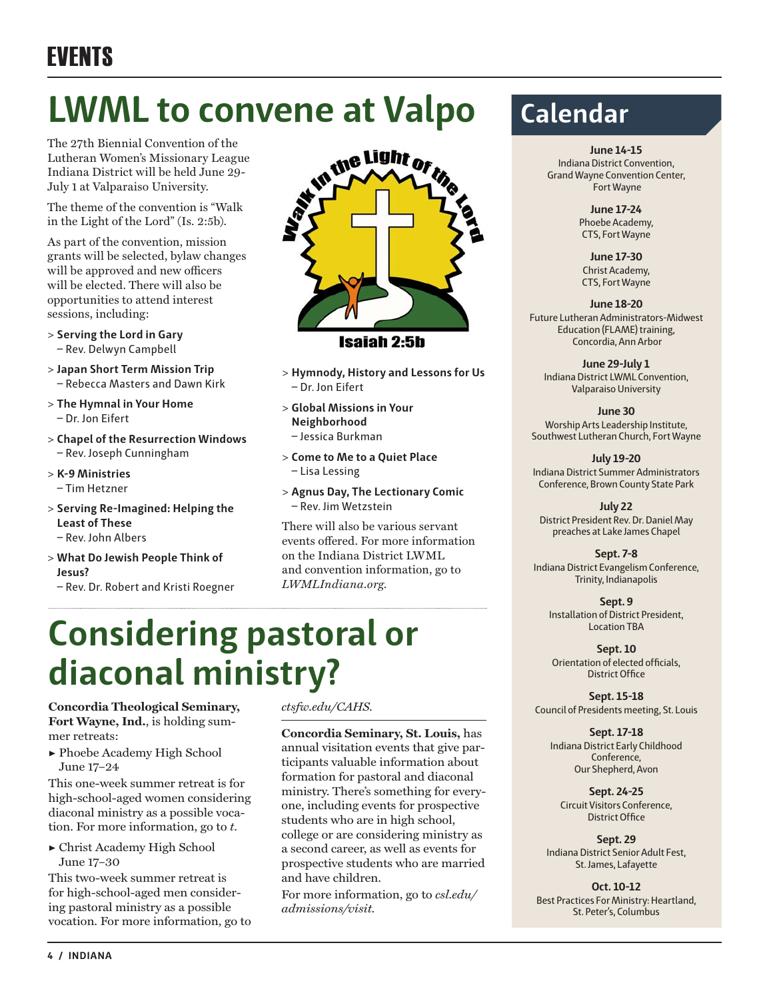# EVENTS

# **LWML to convene at Valpo**

The 27th Biennial Convention of the Lutheran Women's Missionary League Indiana District will be held June 29- July 1 at Valparaiso University.

The theme of the convention is "Walk in the Light of the Lord" (Is. 2:5b).

As part of the convention, mission grants will be selected, bylaw changes will be approved and new officers will be elected. There will also be opportunities to attend interest sessions, including:

- **> Serving the Lord in Gary** – Rev. Delwyn Campbell
- **> Japan Short Term Mission Trip** – Rebecca Masters and Dawn Kirk
- **> The Hymnal in Your Home** – Dr. Jon Eifert
- **> Chapel of the Resurrection Windows**  – Rev. Joseph Cunningham
- **> K-9 Ministries** – Tim Hetzner
- **> Serving Re-Imagined: Helping the Least of These** – Rev. John Albers
- **> What Do Jewish People Think of Jesus?**
	- Rev. Dr. Robert and Kristi Roegner



Isaiah 2:5h

- **> Hymnody, History and Lessons for Us** – Dr. Jon Eifert
- **> Global Missions in Your Neighborhood** – Jessica Burkman
- **> Come to Me to a Quiet Place** – Lisa Lessing
- **> Agnus Day, The Lectionary Comic** – Rev. Jim Wetzstein

There will also be various servant events offered. For more information on the Indiana District LWML and convention information, go to *LWMLIndiana.org.*

# **Considering pastoral or diaconal ministry?**

**Concordia Theological Seminary, Fort Wayne, Ind.**, is holding summer retreats:

▶ Phoebe Academy High School June 17–24

This one-week summer retreat is for high-school-aged women considering diaconal ministry as a possible vocation. For more information, go to *t*.

▶ Christ Academy High School June 17–30

This two-week summer retreat is for high-school-aged men considering pastoral ministry as a possible vocation. For more information, go to *ctsfw.edu/CAHS.*

**Concordia Seminary, St. Louis,** has annual visitation events that give participants valuable information about formation for pastoral and diaconal ministry. There's something for everyone, including events for prospective students who are in high school, college or are considering ministry as a second career, as well as events for prospective students who are married and have children.

For more information, go to *csl.edu/ admissions/visit.*

# **Calendar**

**June 14-15** Indiana District Convention, Grand Wayne Convention Center,

Fort Wayne

**June 17-24** Phoebe Academy, CTS, Fort Wayne

**June 17-30** Christ Academy, CTS, Fort Wayne

**June 18-20** Future Lutheran Administrators-Midwest Education (FLAME) training, Concordia, Ann Arbor

**June 29-July 1** Indiana District LWML Convention, Valparaiso University

**June 30** Worship Arts Leadership Institute, Southwest Lutheran Church, Fort Wayne

**July 19-20** Indiana District Summer Administrators Conference, Brown County State Park

**July 22** District President Rev. Dr. Daniel May preaches at Lake James Chapel

**Sept. 7-8** Indiana District Evangelism Conference, Trinity, Indianapolis

**Sept. 9** Installation of District President, Location TBA

**Sept. 10** Orientation of elected officials, District Office

**Sept. 15-18** Council of Presidents meeting, St. Louis

**Sept. 17-18** Indiana District Early Childhood Conference, Our Shepherd, Avon

**Sept. 24-25** Circuit Visitors Conference, District Office

**Sept. 29** Indiana District Senior Adult Fest, St. James, Lafayette

**Oct. 10-12** Best Practices For Ministry: Heartland, St. Peter's, Columbus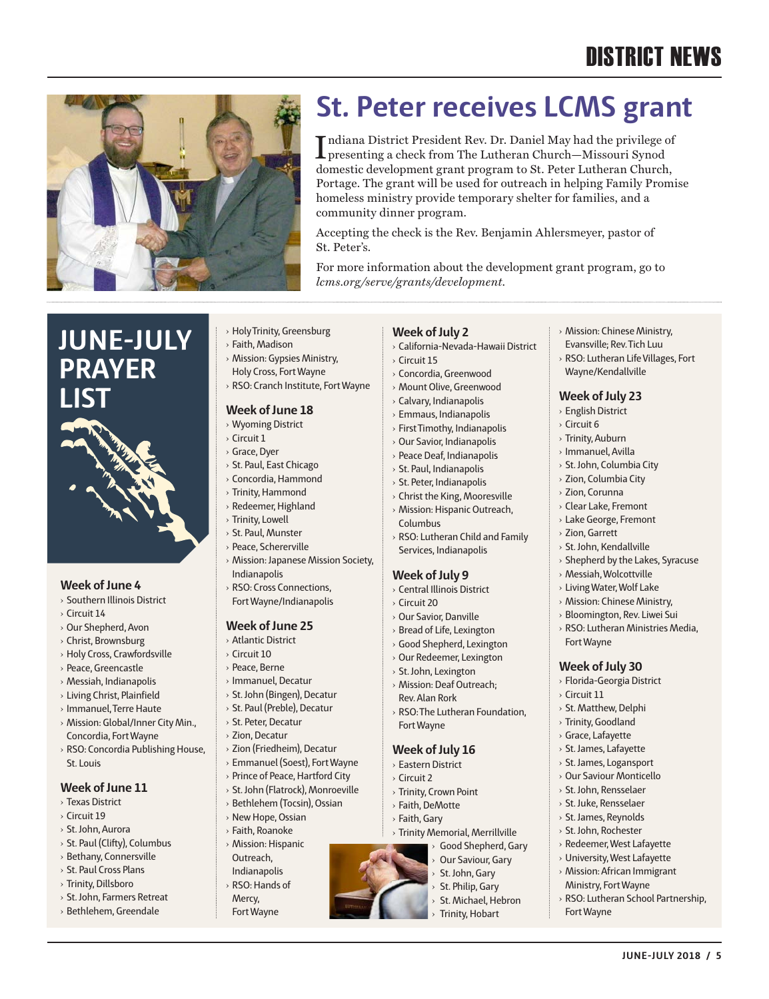# DISTRICT NEWS

› Mission: Chinese Ministry, Evansville; Rev. Tich Luu › RSO: Lutheran Life Villages, Fort

› Shepherd by the Lakes, Syracuse

› Messiah, Wolcottville › Living Water, Wolf Lake › Mission: Chinese Ministry, › Bloomington, Rev. Liwei Sui › RSO: Lutheran Ministries Media,

Fort Wayne

› Circuit 11 › St. Matthew, Delphi › Trinity, Goodland › Grace, Lafayette › St. James, Lafayette › St. James, Logansport › Our Saviour Monticello › St. John, Rensselaer › St. Juke, Rensselaer › St. James, Reynolds › St. John, Rochester › Redeemer, West Lafayette › University, West Lafayette › Mission: African Immigrant Ministry, Fort Wayne

**Week of July 30** › Florida-Georgia District

Wayne/Kendallville **Week of July 23** › English District › Circuit 6 › Trinity, Auburn › Immanuel, Avilla › St. John, Columbia City › Zion, Columbia City › Zion, Corunna › Clear Lake, Fremont › Lake George, Fremont › Zion, Garrett › St. John, Kendallville

**JUNE-JULY 2018 / 5**

› RSO: Lutheran School Partnership,

Fort Wayne



# **St. Peter receives LCMS grant**

Indiana District President Rev. Dr. Daniel May had the privilege of<br>presenting a check from The Lutheran Church—Missouri Synod presenting a check from The Lutheran Church—Missouri Synod domestic development grant program to St. Peter Lutheran Church, Portage. The grant will be used for outreach in helping Family Promise homeless ministry provide temporary shelter for families, and a community dinner program.

Accepting the check is the Rev. Benjamin Ahlersmeyer, pastor of St. Peter's.

For more information about the development grant program, go to *lcms.org/serve/grants/development*.

## **JUNE-JULY PRAYER LIST**



#### **Week of June 4**

- › Southern Illinois District
- › Circuit 14
- › Our Shepherd, Avon
- › Christ, Brownsburg
- › Holy Cross, Crawfordsville
- › Peace, Greencastle
- › Messiah, Indianapolis
- › Living Christ, Plainfield
- › Immanuel, Terre Haute
- › Mission: Global/Inner City Min., Concordia, Fort Wayne
- › RSO: Concordia Publishing House, St. Louis

#### **Week of June 11**

- › Texas District
- › Circuit 19
- › St. John, Aurora
- › St. Paul (Clifty), Columbus
- › Bethany, Connersville
- › St. Paul Cross Plans
- › Trinity, Dillsboro
- › St. John, Farmers Retreat
- › Bethlehem, Greendale
- › Holy Trinity, Greensburg
- › Faith, Madison › Mission: Gypsies Ministry,
- Holy Cross, Fort Wayne
- › RSO: Cranch Institute, Fort Wayne

#### **Week of June 18**

- › Wyoming District
- › Circuit 1
- › Grace, Dyer
- › St. Paul, East Chicago
- › Concordia, Hammond
- › Trinity, Hammond
- › Redeemer, Highland
- › Trinity, Lowell
- › St. Paul, Munster
- › Peace, Schererville
- › Mission: Japanese Mission Society, Indianapolis
- › RSO: Cross Connections, Fort Wayne/Indianapolis

#### **Week of June 25**

- › Atlantic District
- › Circuit 10
- › Peace, Berne
- › Immanuel, Decatur
- › St. John (Bingen), Decatur
- › St. Paul (Preble), Decatur
- › St. Peter, Decatur
- › Zion, Decatur
- › Zion (Friedheim), Decatur
- › Emmanuel (Soest), Fort Wayne
- › Prince of Peace, Hartford City
- › St. John (Flatrock), Monroeville
- › Bethlehem (Tocsin), Ossian
- › New Hope, Ossian
- › Faith, Roanoke › Mission: Hispanic
- Outreach, Indianapolis › RSO: Hands of
- Mercy, Fort Wayne

#### **Week of July 2**

- › California-Nevada-Hawaii District
- › Circuit 15
- › Concordia, Greenwood › Mount Olive, Greenwood
- › Calvary, Indianapolis
- 
- › Emmaus, Indianapolis
- › First Timothy, Indianapolis
- › Our Savior, Indianapolis › Peace Deaf, Indianapolis
- › St. Paul, Indianapolis
	- › St. Peter, Indianapolis
	- › Christ the King, Mooresville
	- › Mission: Hispanic Outreach,
	- Columbus › RSO: Lutheran Child and Family
	- Services, Indianapolis

#### **Week of July 9**

- › Central Illinois District
- › Circuit 20
- › Our Savior, Danville
- › Bread of Life, Lexington
- › Good Shepherd, Lexington
- › Our Redeemer, Lexington
- › St. John, Lexington
- › Mission: Deaf Outreach; Rev. Alan Rork
- › RSO: The Lutheran Foundation, Fort Wayne

#### **Week of July 16**

- › Eastern District
- › Circuit 2
- › Trinity, Crown Point
- › Faith, DeMotte
- › Faith, Gary
- › Trinity Memorial, Merrillville
	- Good Shepherd, Gary

St. Michael, Hebron **Trinity, Hobart** 

- Our Saviour, Gary
- St. John, Gary St. Philip, Gary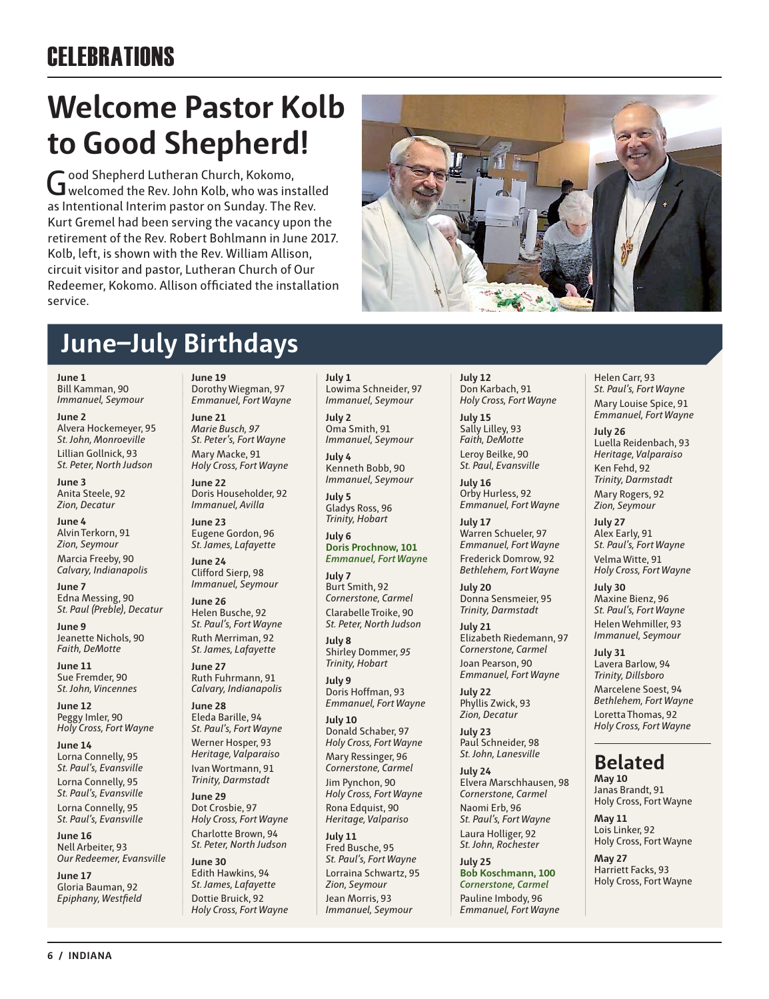# **CELEBRATIONS**

# **Welcome Pastor Kolb to Good Shepherd!**

Good Shepherd Lutheran Church, Kokomo,<br>Gwelcomed the Rev. John Kolb, who was installed as Intentional Interim pastor on Sunday. The Rev. Kurt Gremel had been serving the vacancy upon the retirement of the Rev. Robert Bohlmann in June 2017. Kolb, left, is shown with the Rev. William Allison, circuit visitor and pastor, Lutheran Church of Our Redeemer, Kokomo. Allison officiated the installation service.

# **June–July Birthdays**

**June 1** Bill Kamman, 90 *Immanuel, Seymour*

**June 2** Alvera Hockemeyer, 95 *St. John, Monroeville* Lillian Gollnick, 93

*St. Peter, North Judson*

**June 3** Anita Steele, 92 *Zion, Decatur*

**June 4** Alvin Terkorn, 91 *Zion, Seymour* Marcia Freeby, 90 *Calvary, Indianapolis*

**June 7** Edna Messing, 90 *St. Paul (Preble), Decatur*

**June 9** Jeanette Nichols, 90 *Faith, DeMotte*

**June 11** Sue Fremder, 90 *St. John, Vincennes*

**June 12** Peggy Imler, 90 *Holy Cross, Fort Wayne*

**June 14** Lorna Connelly, 95 *St. Paul's, Evansville* Lorna Connelly, 95 *St. Paul's, Evansville* Lorna Connelly, 95 *St. Paul's, Evansville*

**June 16** Nell Arbeiter, 93 *Our Redeemer, Evansville*

**June 17** Gloria Bauman, 92 *Epiphany, Westfield* **June 19** Dorothy Wiegman, 97 *Emmanuel, Fort Wayne*

**June 21** *Marie Busch, 97 St. Peter's, Fort Wayne*  Mary Macke, 91 *Holy Cross, Fort Wayne*

**June 22** Doris Householder, 92 *Immanuel, Avilla*

**June 23** Eugene Gordon, 96 *St. James, Lafayette*

**June 24**  Clifford Sierp, 98 *Immanuel, Seymour*

**June 26** Helen Busche, 92 *St. Paul's, Fort Wayne* Ruth Merriman, 92 *St. James, Lafayette*

**June 27** Ruth Fuhrmann, 91 *Calvary, Indianapolis*

**June 28** Eleda Barille, 94 *St. Paul's, Fort Wayne* Werner Hosper, 93 *Heritage, Valparaiso* Ivan Wortmann, 91 *Trinity, Darmstadt*

**June 29** Dot Crosbie, 97 *Holy Cross, Fort Wayne* Charlotte Brown, 94 *St. Peter, North Judson*

**June 30** Edith Hawkins, 94 *St. James, Lafayette* Dottie Bruick, 92 *Holy Cross, Fort Wayne* **July 1**  Lowima Schneider, 97 *Immanuel, Seymour*

**July 2** Oma Smith, 91 *Immanuel, Seymour*

**July 4** Kenneth Bobb, 90 *Immanuel, Seymour*

**July 5** Gladys Ross, 96 *Trinity, Hobart*

**July 6 Doris Prochnow, 101** *Emmanuel, Fort Wayn***e**

**July 7** Burt Smith, 92 *Cornerstone, Carmel* Clarabelle Troike, 90 *St. Peter, North Judson*

**July 8** Shirley Dommer, *95 Trinity, Hobart*

**July 9** Doris Hoffman, 93 *Emmanuel, Fort Wayne*

**July 10** Donald Schaber, 97 *Holy Cross, Fort Wayne*

Mary Ressinger, 96 *Cornerstone, Carmel* Jim Pynchon, 90

*Holy Cross, Fort Wayne* Rona Edquist, 90

*Heritage, Valpariso* **July 11** Fred Busche, 95 *St. Paul's, Fort Wayne* Lorraina Schwartz, 95 *Zion, Seymour*

Jean Morris, 93 *Immanuel, Seymour* **July 12** Don Karbach, 91 *Holy Cross, Fort Wayne*

**July 15** Sally Lilley, 93 *Faith, DeMotte* Leroy Beilke, 90 *St. Paul, Evansville*

**July 16** Orby Hurless, 92 *Emmanuel, Fort Wayne*

**July 17** Warren Schueler, 97 *Emmanuel, Fort Wayne* Frederick Domrow, 92 *Bethlehem, Fort Wayne*

**July 20** Donna Sensmeier, 95 *Trinity, Darmstadt*

**July 21** Elizabeth Riedemann, 97 *Cornerstone, Carmel* Joan Pearson, 90 *Emmanuel, Fort Wayne*

**July 22** Phyllis Zwick, 93 *Zion, Decatur*

**July 23** Paul Schneider, 98 *St. John, Lanesville*

**July 24** Elvera Marschhausen, 98 *Cornerstone, Carmel* Naomi Erb, 96 *St. Paul's, Fort Wayne*

Laura Holliger, 92 *St. John, Rochester*

**July 25 Bob Koschmann, 100** *Cornerstone, Carmel* Pauline Imbody, 96 *Emmanuel, Fort Wayne*

Helen Carr, 93 *St. Paul's, Fort Wayne* Mary Louise Spice, 91 *Emmanuel, Fort Wayne*

**July 26** Luella Reidenbach, 93 *Heritage, Valparaiso* Ken Fehd, 92 *Trinity, Darmstadt*

Mary Rogers, 92 *Zion, Seymour*

**July 27** Alex Early, 91 *St. Paul's, Fort Wayne* Velma Witte, 91 *Holy Cross, Fort Wayne*

**July 30** Maxine Bienz, 96 *St. Paul's, Fort Wayne* Helen Wehmiller, 93 *Immanuel, Seymour*

**July 31** Lavera Barlow, 94 *Trinity, Dillsboro* Marcelene Soest, 94 *Bethlehem, Fort Wayne* Loretta Thomas, 92 *Holy Cross, Fort Wayne*

### **Belated**

**May 10** Janas Brandt, 91 Holy Cross, Fort Wayne

**May 11** Lois Linker, 92 Holy Cross, Fort Wayne

**May 27** Harriett Facks, 93 Holy Cross, Fort Wayne

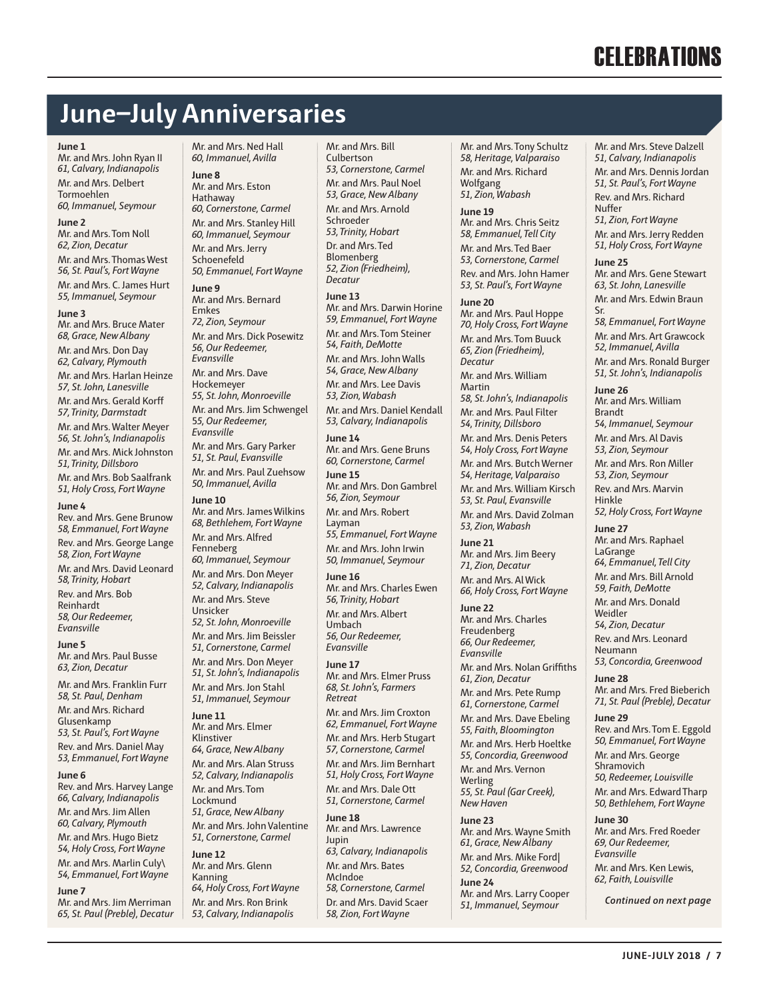# **CELEBRATIONS**

## **June–July Anniversaries**

#### **June 1**

Mr. and Mrs. John Ryan II *61, Calvary, Indianapolis* Mr. and Mrs. Delbert Tormoehlen *60, Immanuel, Seymour*

#### **June 2**

Mr. and Mrs. Tom Noll *62, Zion, Decatur* Mr. and Mrs. Thomas West *56, St. Paul's, Fort Wayne* Mr. and Mrs. C. James Hurt *55, Immanuel, Seymour*

#### **June 3**

Mr. and Mrs. Bruce Mater *68, Grace, New Albany* Mr. and Mrs. Don Day *62, Calvary, Plymouth* Mr. and Mrs. Harlan Heinze *57, St. John, Lanesville* Mr. and Mrs. Gerald Korff *57, Trinity, Darmstadt* Mr. and Mrs. Walter Meyer *56, St. John's, Indianapolis* Mr. and Mrs. Mick Johnston *51, Trinity, Dillsboro* Mr. and Mrs. Bob Saalfrank *51, Holy Cross, Fort Wayne*

#### **June 4**

Rev. and Mrs. Gene Brunow *58, Emmanuel, Fort Wayne* Rev. and Mrs. George Lange *58, Zion, Fort Wayne* Mr. and Mrs. David Leonard *58, Trinity, Hobart* Rev. and Mrs. Bob Reinhardt *58, Our Redeemer, Evansville*

**June 5** Mr. and Mrs. Paul Busse *63, Zion, Decatur*

Mr. and Mrs. Franklin Furr *58, St. Paul, Denham* Mr. and Mrs. Richard Glusenkamp *53, St. Paul's, Fort Wayne* Rev. and Mrs. Daniel May *53, Emmanuel, Fort Wayne*

#### **June 6**

Rev. and Mrs. Harvey Lange *66, Calvary, Indianapolis* Mr. and Mrs. Jim Allen *60, Calvary, Plymouth* Mr. and Mrs. Hugo Bietz *54, Holy Cross, Fort Wayne* Mr. and Mrs. Marlin Culy\ *54, Emmanuel, Fort Wayne*

**June 7**

Mr. and Mrs. Jim Merriman *65, St. Paul (Preble), Decatur*  Mr. and Mrs. Ned Hall *60, Immanuel, Avilla*

**June 8** Mr. and Mrs. Eston Hathaway *60, Cornerstone, Carmel* Mr. and Mrs. Stanley Hill *60, Immanuel, Seymour* Mr. and Mrs. Jerry Schoenefeld *50, Emmanuel, Fort Wayne*

**June 9** Mr. and Mrs. Bernard Emkes *72, Zion, Seymour* Mr. and Mrs. Dick Posewitz *56, Our Redeemer, Evansville*

Mr. and Mrs. Dave Hockemeyer *55, St. John, Monroeville* Mr. and Mrs. Jim Schwengel 5*5, Our Redeemer, Evansville* Mr. and Mrs. Gary Parker *51, St. Paul, Evansville*  Mr. and Mrs. Paul Zuehsow *50, Immanuel, Avilla*

#### **June 10**

Mr. and Mrs. James Wilkins *68, Bethlehem, Fort Wayne* Mr. and Mrs. Alfred Fenneberg *60, Immanuel, Seymour* Mr. and Mrs. Don Meyer *52, Calvary, Indianapolis* Mr. and Mrs. Steve Unsicker *52, St. John, Monroeville* Mr. and Mrs. Jim Beissler *51, Cornerstone, Carmel* Mr. and Mrs. Don Meyer *51, St. John's, Indianapolis* Mr. and Mrs. Jon Stahl

**June 11** Mr. and Mrs. Elmer Klinstiver *64, Grace, New Albany* Mr. and Mrs. Alan Struss *52, Calvary, Indianapolis* Mr. and Mrs. Tom Lockmund *51, Grace, New Albany* Mr. and Mrs. John Valentine *51, Cornerstone, Carmel* 

*51, Immanuel, Seymour*

**June 12** Mr. and Mrs. Glenn Kanning *64, Holy Cross, Fort Wayne* Mr. and Mrs. Ron Brink *53, Calvary, Indianapolis*

Mr. and Mrs. Bill Culbertson *53, Cornerstone, Carmel* Mr. and Mrs. Paul Noel *53, Grace, New Albany* Mr. and Mrs. Arnold Schroeder *53, Trinity, Hobart* Dr. and Mrs. Ted Blomenberg *52, Zion (Friedheim), Decatur*

**June 13** Mr. and Mrs. Darwin Horine *59, Emmanuel, Fort Wayne* Mr. and Mrs. Tom Steiner *54, Faith, DeMotte* Mr. and Mrs. John Walls *54, Grace, New Albany* Mr. and Mrs. Lee Davis *53, Zion, Wabash* Mr. and Mrs. Daniel Kendall *53, Calvary, Indianapolis*

**June 14** Mr. and Mrs. Gene Bruns *60, Cornerstone, Carmel* **June 15** Mr. and Mrs. Don Gambrel

*56, Zion, Seymour* Mr. and Mrs. Robert

Layman *55, Emmanuel, Fort Wayne* Mr. and Mrs. John Irwin *50, Immanuel, Seymour*

**June 16** Mr. and Mrs. Charles Ewen *56, Trinity, Hobart* Mr. and Mrs. Albert Umbach *56, Our Redeemer, Evansville*

**June 17** Mr. and Mrs. Elmer Pruss *68, St. John's, Farmers Retreat*

Mr. and Mrs. Jim Croxton *62, Emmanuel, Fort Wayne*

Mr. and Mrs. Herb Stugart *57, Cornerstone, Carmel* Mr. and Mrs. Jim Bernhart *51, Holy Cross, Fort Wayne*

Mr. and Mrs. Dale Ott *51, Cornerstone, Carmel*

**June 18** Mr. and Mrs. Lawrence Jupin *63, Calvary, Indianapolis* Mr. and Mrs. Bates McIndoe *58, Cornerstone, Carmel* Dr. and Mrs. David Scaer *58, Zion, Fort Wayne*

Mr. and Mrs. Tony Schultz *58, Heritage, Valparaiso* Mr. and Mrs. Richard Wolfgang *51, Zion, Wabash* 

**June 19** Mr. and Mrs. Chris Seitz *58, Emmanuel, Tell City* Mr. and Mrs. Ted Baer *53, Cornerstone, Carmel* Rev. and Mrs. John Hamer *53, St. Paul's, Fort Wayne*

**June 20** Mr. and Mrs. Paul Hoppe *70, Holy Cross, Fort Wayne* Mr. and Mrs. Tom Buuck *65, Zion (Friedheim), Decatur* Mr. and Mrs. William Martin *58, St. John's, Indianapolis* Mr. and Mrs. Paul Filter *54, Trinity, Dillsboro* Mr. and Mrs. Denis Peters *54, Holy Cross, Fort Wayne* Mr. and Mrs. Butch Werner *54, Heritage, Valparaiso* Mr. and Mrs. William Kirsch *53, St. Paul, Evansville*

Mr. and Mrs. David Zolman *53, Zion, Wabash*

**June 21** Mr. and Mrs. Jim Beery *71, Zion, Decatur* Mr. and Mrs. Al Wick *66, Holy Cross, Fort Wayne*

**June 22** Mr. and Mrs. Charles Freudenberg *66, Our Redeemer, Evansville*

Mr. and Mrs. Nolan Griffiths *61, Zion, Decatur*

Mr. and Mrs. Pete Rump *61, Cornerstone, Carmel*

Mr. and Mrs. Dave Ebeling *55, Faith, Bloomington* Mr. and Mrs. Herb Hoeltke *55, Concordia, Greenwood*

Mr. and Mrs. Vernon Werling

*55, St. Paul (Gar Creek), New Haven*

**June 23** Mr. and Mrs. Wayne Smith *61, Grace, New Albany*

Mr. and Mrs. Mike Ford| *52, Concordia, Greenwood* **June 24**

Mr. and Mrs. Larry Cooper *51, Immanuel, Seymour*

Mr. and Mrs. Steve Dalzell *51, Calvary, Indianapolis* Mr. and Mrs. Dennis Jordan *51, St. Paul's, Fort Wayne* Rev. and Mrs. Richard Nuffer

*51, Zion, Fort Wayne* Mr. and Mrs. Jerry Redden *51, Holy Cross, Fort Wayne*

**June 25** Mr. and Mrs. Gene Stewart *63, St. John, Lanesville* Mr. and Mrs. Edwin Braun

Sr. *58, Emmanuel, Fort Wayne* Mr. and Mrs. Art Grawcock *52, Immanuel, Avilla* Mr. and Mrs. Ronald Burger *51, St. John's, Indianapolis*

**June 26** Mr. and Mrs. William Brandt *54, Immanuel, Seymour*

Mr. and Mrs. Al Davis *53, Zion, Seymour*

Mr. and Mrs. Ron Miller *53, Zion, Seymour*

Rev. and Mrs. Marvin Hinkle *52, Holy Cross, Fort Wayne*

**June 27** Mr. and Mrs. Raphael LaGrange

*64, Emmanuel, Tell City* Mr. and Mrs. Bill Arnold

*59, Faith, DeMotte* Mr. and Mrs. Donald Weidler

*54, Zion, Decatur* Rev. and Mrs. Leonard Neumann *53, Concordia, Greenwood*

**June 28** Mr. and Mrs. Fred Bieberich *71, St. Paul (Preble), Decatur*

**June 29** Rev. and Mrs. Tom E. Eggold *50, Emmanuel, Fort Wayne*

Mr. and Mrs. George **Shramovich** *50, Redeemer, Louisville* Mr. and Mrs. Edward Tharp *50, Bethlehem, Fort Wayne*

**June 30** Mr. and Mrs. Fred Roeder *69, Our Redeemer, Evansville*

Mr. and Mrs. Ken Lewis, *62, Faith, Louisville*

*Continued on next page*